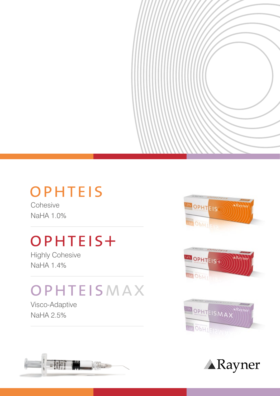### **OPHTEIS**

**Cohesive** NaHA 1.0%

# OPHTEIS+

Highly Cohesive NaHA 1.4%

## OPHTEISMAX

Visco-Adaptive NaHA 2.5%